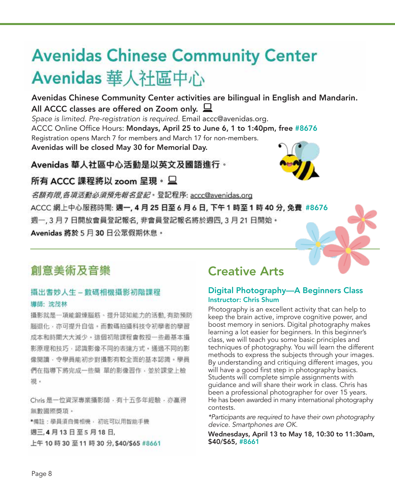# **Avenidas Chinese Community Center** Avenidas 華人社區中心

Avenidas Chinese Community Center activities are bilingual in English and Mandarin. All ACCC classes are offered on Zoom only.  $\Box$ 

Space is limited. Pre-registration is required. Email accc@avenidas.org. ACCC Online Office Hours: Mondays, April 25 to June 6, 1 to 1:40pm, free #8676 Registration opens March 7 for members and March 17 for non-members. Avenidas will be closed May 30 for Memorial Day.

Avenidas 華人社區中心活動是以英文及國語進行。



# 所有 ACCC 課程將以 zoom 呈現。  $\sqcup$

名額有限,各項活動必須預先報名登記。登記程序: accc@avenidas.org ACCC 網上中心服務時間: 週一, 4 月 25 日至 6 月 6 日, 下午 1 時至 1 時 40 分, 免費 #8676 週一, 3月7日開放會員登記報名, 非會員登記報名將於週四, 3月 21日開始。 Avenidas 將於 5 月 30 日公眾假期休息。

# 創意美術及音樂

# 攝出耆妙人生 - 數碼相機攝影初階課程 導師: 沈茂林

攝影就是一項能鍛煉腦筋、提升認知能力的活動, 有助預防 腦退化,亦可提升自信。而數碼拍攝科技令初學者的學習 成本和時間大大減少。造個初階課程會教授一些最基本攝 影原理和技巧,認識影像不同的表達方式,通過不同的影 像閱讀·令學員能初步對攝影有較全面的基本認識。學員 們在指導下將完成一些簡 單的影像習作,並於課堂上檢 視 。

Chris是一位資深專業攝影師,有十五多年經驗,亦贏得 無數國際獎項。

\*備註:學員須自備相機,初班可以用智能手機 週三,4月13日至5月18日, 上午10 時30 至11 時30 分, \$40/\$65 #8661

# Creative Arts

### Digital Photography—A Beginners Class Instructor: Chris Shum

Photography is an excellent activity that can help to keep the brain active, improve cognitive power, and boost memory in seniors. Digital photography makes learning a lot easier for beginners. In this beginner's class, we will teach you some basic principles and techniques of photography. You will learn the different methods to express the subjects through your images. By understanding and critiquing different images, you will have a good first step in photography basics. Students will complete simple assignments with guidance and will share their work in class. Chris has been a professional photographer for over 15 years. He has been awarded in many international photography contests.

\*Participants are required to have their own photography device. Smartphones are OK.

Wednesdays, April 13 to May 18, 10:30 to 11:30am, \$40/\$65, #8661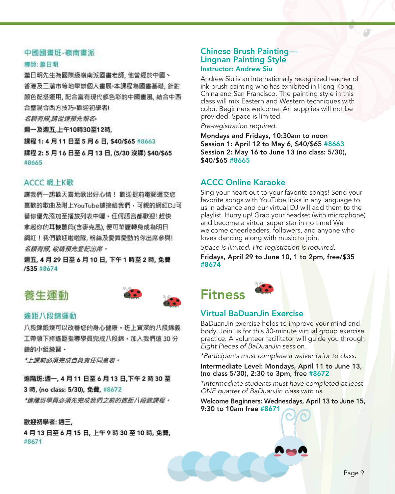### 中國國畫班-嶺南畫派

#### 導師: 蕭日明

蕭日明先生為國際級嶺南派國畫老師,他曾經於中國、 香港及三藩市等地舉辦個人畫展。本課程為國畫基礎, 針對 顏色配搭運用, 配合富有現代感色彩的中國畫風, 結合中西 合璧混合西方技巧。歡迎初學者!

名額有限,請從速預先報名。

週一及週五,上午10時30至12時,

課程 1:4月11日至5月6日, \$40/\$65 #8663 課程 2: 5 月 16 日至 6 月 13 日, (5/30 沒課) \$40/\$65 #8665

### ACCC 網上K歌

讓我們一起歡天喜地歌出好心情! 歡迎提前電郵遞交您 喜歡的歌曲及附上YouTube鏈接給我們,可親的網紅DJ可 替你優先添加至播放列表中喔 • 任何語言都歡迎! 趕快 拿起你的耳機聽筒(含麥克風), 便可華麗轉身成為明日 網紅!我們歡迎啦啦隊,粉絲及愛舞愛動的你出席參與! 名顏有限, 敬請預先登記出席。

週五, 4月29日至6月10日, 下午1時至2時, 免費 /\$35 #8674

# 養牛運動



### 遙距八段錦運動

八段錦鍛煉可以改善您的身心健康。班上資深的八段錦義 工帶領下將遙距指導學員完成八段錦。加入我們這 30分 鐘的小組練習 ·

\*上踝前必須完成自負責任同意表 ·

# 進階班:週一, 4 月 11 日至 6 月 13 日,下午 2 時 30 至

### 3 時, (no class: 5/30), 免費, #8672

\*進階班學員必須先完成我們之前的遙距八段錦課程 ·

### 歡迎初學者: 週三,

4 月 13 日至 6 月 15 日, 上午 9 時 30 至 10 時, 免費, #8671

### Chinese Brush Painting— Lingnan Painting Style Instructor: Andrew Siu

Andrew Siu is an internationally recognized teacher of ink-brush painting who has exhibited in Hong Kong, China and San Francisco. The painting style in this class will mix Eastern and Western techniques with color. Beginners welcome. Art supplies will not be provided. Space is limited.

Pre-registration required.

Mondays and Fridays, 10:30am to noon Session 1: April 12 to May 6, \$40/\$65 #8663 Session 2: May 16 to June 13 (no class: 5/30), \$40/\$65 #8665

## ACCC Online Karaoke

Sing your heart out to your favorite songs! Send your favorite songs with YouTube links in any language to us in advance and our virtual DJ will add them to the playlist. Hurry up! Grab your headset (with microphone) and become a virtual super star in no time! We welcome cheerleaders, followers, and anyone who loves dancing along with music to join.

Space is limited. Pre-registration is required.

Fridays, April 29 to June 10, 1 to 2pm, free/\$35 #8674



### Virtual BaDuanJin Exercise

BaDuanJin exercise helps to improve your mind and body. Join us for this 30-minute virtual group exercise practice. A volunteer facilitator will guide you through Eight Pieces of BaDuanJin session.

\*Participants must complete a waiver prior to class.

### Intermediate Level: Mondays, April 11 to June 13, (no class 5/30), 2:30 to 3pm, free #8672

\*Intermediate students must have completed at least ONE quarter of BaDuanJin class with us.

Welcome Beginners: Wednesdays, April 13 to June 15, 9:30 to 10am free #8671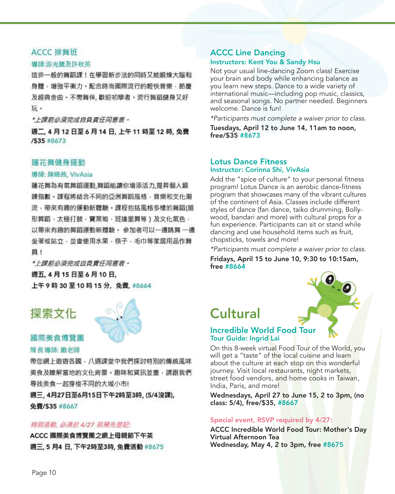### ACCC 排舞班

### 導師:游光騰及許秋英

這非一般的舞蹈課!在學習新步法的同時又能鍛煉大腦和 身體,增強平衡力。配合時尚國際流行的輕快音樂,節慶 及經典金曲・不需舞伴, 歡迎初學者・流行舞蹈健身又好 玩。

\*上課前必須完成自負責任同意表 •

週二, 4 月 12 日至 6 月 14 日, 上午 11 時至 12 時, 免費 /\$35 #8673

### 蓮花舞健身運動

導師: 陳曉茜, VivAsia

蓮花舞為有氧舞蹈運動,舞蹈能讓你增添活力,提昇個人鍛 錬指數・課程將結合不同的亞洲舞蹈風格・音樂和文化潮 流,帶來有趣的運動新體驗,課程包括風格多樣的舞蹈(扇 形舞蹈、太極打鼓、寶萊塢、班達里舞等)及文化氣色、 以帶來有趣的舞蹈運動新體驗。 參加者可以一邊跳舞 一邊 坐著或站立,並會使用水果,筷子,毛巾等家居用品作舞 且!

\* 上課前必須完成自負責任同意表。 週五, 4月15日至6月10日, 上午9時30至10時15分,免費,#8664

# 探索文化



### 國際美食博覽團 隊長導師: 勵老師

帶您網上遨遊各國‧八週課堂中我們探討特別的傳統風味 美食及瞭解當地的文化背景,趣味和資訊並重,請跟我們 尋找美食一起穿梭不同的大城小市!

週三,4月27日至6月15日下午2時至3時,(5/4沒課), 免費/S35 #8667

### 特別活動, 必須於 4/27 前預先登記:

ACCC 國際美食博覽團之網上母親節下午茶 週三, 5 月4 日, 下午2時至3時, 免費活動 #8675

### ACCC Line Dancing Instructors: Kent You & Sandy Hsu

Not your usual line-dancing Zoom class! Exercise your brain and body while enhancing balance as you learn new steps. Dance to a wide variety of international music—including pop music, classics, and seasonal songs. No partner needed. Beginners welcome. Dance is fun!

\*Participants must complete a waiver prior to class.

Tuesdays, April 12 to June 14, 11am to noon, free/\$35 #8673

### Lotus Dance Fitness Instructor: Corinna Shi, VivAsia

Add the "spice of culture" to your personal fitness program! Lotus Dance is an aerobic dance-fitness program that showcases many of the vibrant cultures of the continent of Asia. Classes include different styles of dance (fan dance, taiko drumming, Bollywood, bandari and more) with cultural props for a fun experience. Participants can sit or stand while dancing and use household items such as fruit, chopsticks, towels and more!

\*Participants must complete a waiver prior to class. Fridays, April 15 to June 10, 9:30 to 10:15am, free #8664

# Cultural



### Incredible World Food Tour Tour Guide: Ingrid Lai

On this 8-week virtual Food Tour of the World, you will get a "taste" of the local cuisine and learn about the culture at each stop on this wonderful journey. Visit local restaurants, night markets, street food vendors, and home cooks in Taiwan, India, Paris, and more!

Wednesdays, April 27 to June 15, 2 to 3pm, (no class: 5/4), free/\$35, #8667

### Special event, RSVP required by 4/27:

ACCC Incredible World Food Tour: Mother's Day Virtual Afternoon Tea Wednesday, May 4, 2 to 3pm, free #8675